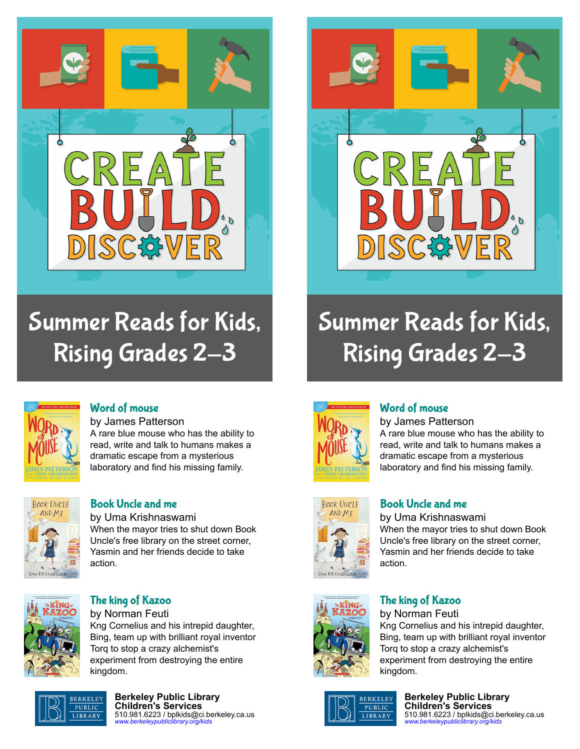

# Summer Reads for Kids, Rising Grades 2-3



# Summer Reads for Kids, Rising Grades 2-3



#### [Word of mouse](https://libraryaware.com/227X48)

by James Patterson A rare blue mouse who has the ability to read, write and talk to humans makes a dramatic escape from a mysterious laboratory and find his missing family.



# [Book Uncle and me](https://libraryaware.com/227X49)

by Uma Krishnaswami When the mayor tries to shut down Book Uncle's free library on the street corner, Yasmin and her friends decide to take action.



#### [The king of Kazoo](https://libraryaware.com/227X4A) by Norman Feuti

Kng Cornelius and his intrepid daughter, Bing, team up with brilliant royal inventor Torq to stop a crazy alchemist's experiment from destroying the entire kingdom.



**Berkeley Public Library Children's Services** 510.981.6223 / bplkids@ci.berkeley.ca.us *[www.berkeleypubliclibrary.org/kids](https://libraryaware.com/227X4B)*



**ROOK UNCLE** 

AND MF

# [Word of mouse](https://libraryaware.com/227X48)

by James Patterson A rare blue mouse who has the ability to read, write and talk to humans makes a dramatic escape from a mysterious laboratory and find his missing family.

## [Book Uncle and me](https://libraryaware.com/227X49)

by Uma Krishnaswami When the mayor tries to shut down Book Uncle's free library on the street corner, Yasmin and her friends decide to take action.



# [The king of Kazoo](https://libraryaware.com/227X4A)

by Norman Feuti Kng Cornelius and his intrepid daughter, Bing, team up with brilliant royal inventor Torq to stop a crazy alchemist's experiment from destroying the entire kingdom.



**Berkeley Public Library Children's Services** 510.981.6223 / bplkids@ci.berkeley.ca.us *[www.berkeleypubliclibrary.org/kids](https://libraryaware.com/227X4B)*